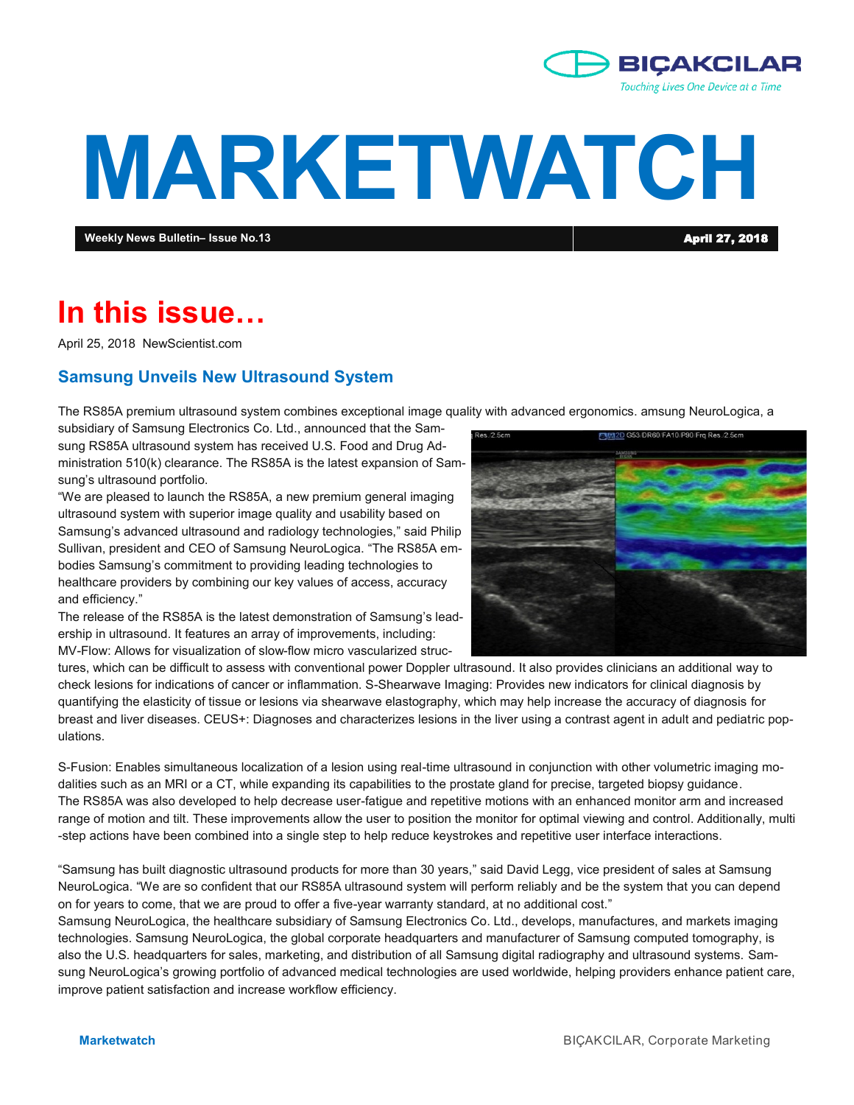

# **MARKETWATCH**

**Weekly News Bulletin– Issue No.13** April 27, 2018

## **In this issue…**

April 25, 2018 NewScientist.com

#### **Samsung Unveils New Ultrasound System**

The RS85A premium ultrasound system combines exceptional image quality with advanced ergonomics. amsung NeuroLogica, a

subsidiary of Samsung Electronics Co. Ltd., announced that the Samsung RS85A ultrasound system has received U.S. Food and Drug Administration 510(k) clearance. The RS85A is the latest expansion of Samsung's ultrasound portfolio.

"We are pleased to launch the RS85A, a new premium general imaging ultrasound system with superior image quality and usability based on Samsung's advanced ultrasound and radiology technologies," said Philip Sullivan, president and CEO of Samsung NeuroLogica. "The RS85A embodies Samsung's commitment to providing leading technologies to healthcare providers by combining our key values of access, accuracy and efficiency."



The release of the RS85A is the latest demonstration of Samsung's leadership in ultrasound. It features an array of improvements, including: MV-Flow: Allows for visualization of slow-flow micro vascularized struc-

tures, which can be difficult to assess with conventional power Doppler ultrasound. It also provides clinicians an additional way to check lesions for indications of cancer or inflammation. S-Shearwave Imaging: Provides new indicators for clinical diagnosis by quantifying the elasticity of tissue or lesions via shearwave elastography, which may help increase the accuracy of diagnosis for breast and liver diseases. CEUS+: Diagnoses and characterizes lesions in the liver using a contrast agent in adult and pediatric populations.

S-Fusion: Enables simultaneous localization of a lesion using real-time ultrasound in conjunction with other volumetric imaging modalities such as an MRI or a CT, while expanding its capabilities to the prostate gland for precise, targeted biopsy guidance. The RS85A was also developed to help decrease user-fatigue and repetitive motions with an enhanced monitor arm and increased range of motion and tilt. These improvements allow the user to position the monitor for optimal viewing and control. Additionally, multi -step actions have been combined into a single step to help reduce keystrokes and repetitive user interface interactions.

"Samsung has built diagnostic ultrasound products for more than 30 years," said David Legg, vice president of sales at Samsung NeuroLogica. "We are so confident that our RS85A ultrasound system will perform reliably and be the system that you can depend on for years to come, that we are proud to offer a five-year warranty standard, at no additional cost."

Samsung NeuroLogica, the healthcare subsidiary of Samsung Electronics Co. Ltd., develops, manufactures, and markets imaging technologies. Samsung NeuroLogica, the global corporate headquarters and manufacturer of Samsung computed tomography, is also the U.S. headquarters for sales, marketing, and distribution of all Samsung digital radiography and ultrasound systems. Samsung NeuroLogica's growing portfolio of advanced medical technologies are used worldwide, helping providers enhance patient care, improve patient satisfaction and increase workflow efficiency.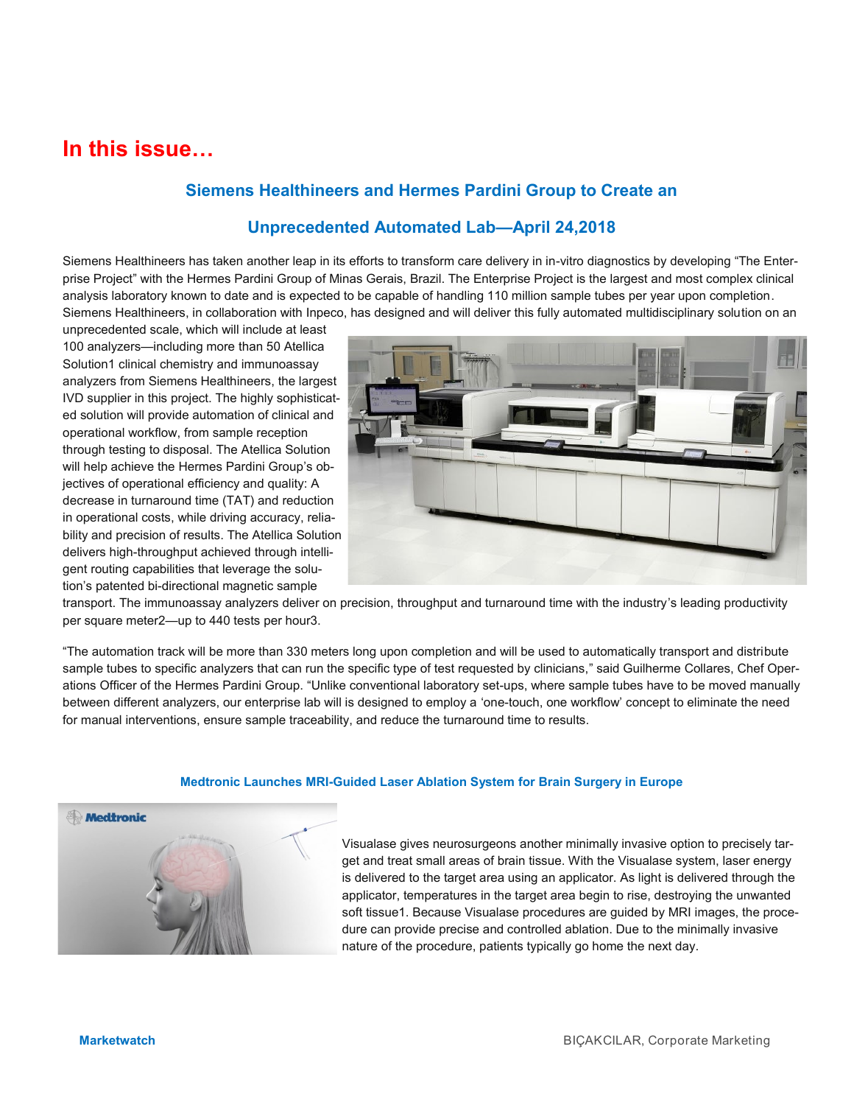### **In this issue…**

#### **Siemens Healthineers and Hermes Pardini Group to Create an**

#### **Unprecedented Automated Lab—April 24,2018**

Siemens Healthineers has taken another leap in its efforts to transform care delivery in in-vitro diagnostics by developing "The Enterprise Project" with the Hermes Pardini Group of Minas Gerais, Brazil. The Enterprise Project is the largest and most complex clinical analysis laboratory known to date and is expected to be capable of handling 110 million sample tubes per year upon completion. Siemens Healthineers, in collaboration with Inpeco, has designed and will deliver this fully automated multidisciplinary solution on an

unprecedented scale, which will include at least 100 analyzers—including more than 50 Atellica Solution1 clinical chemistry and immunoassay analyzers from Siemens Healthineers, the largest IVD supplier in this project. The highly sophisticated solution will provide automation of clinical and operational workflow, from sample reception through testing to disposal. The Atellica Solution will help achieve the Hermes Pardini Group's objectives of operational efficiency and quality: A decrease in turnaround time (TAT) and reduction in operational costs, while driving accuracy, reliability and precision of results. The Atellica Solution delivers high-throughput achieved through intelligent routing capabilities that leverage the solution's patented bi-directional magnetic sample



transport. The immunoassay analyzers deliver on precision, throughput and turnaround time with the industry's leading productivity per square meter2—up to 440 tests per hour3.

"The automation track will be more than 330 meters long upon completion and will be used to automatically transport and distribute sample tubes to specific analyzers that can run the specific type of test requested by clinicians," said Guilherme Collares, Chef Operations Officer of the Hermes Pardini Group. "Unlike conventional laboratory set-ups, where sample tubes have to be moved manually between different analyzers, our enterprise lab will is designed to employ a 'one-touch, one workflow' concept to eliminate the need for manual interventions, ensure sample traceability, and reduce the turnaround time to results.

#### **Medtronic Launches MRI-Guided Laser Ablation System for Brain Surgery in Europe**



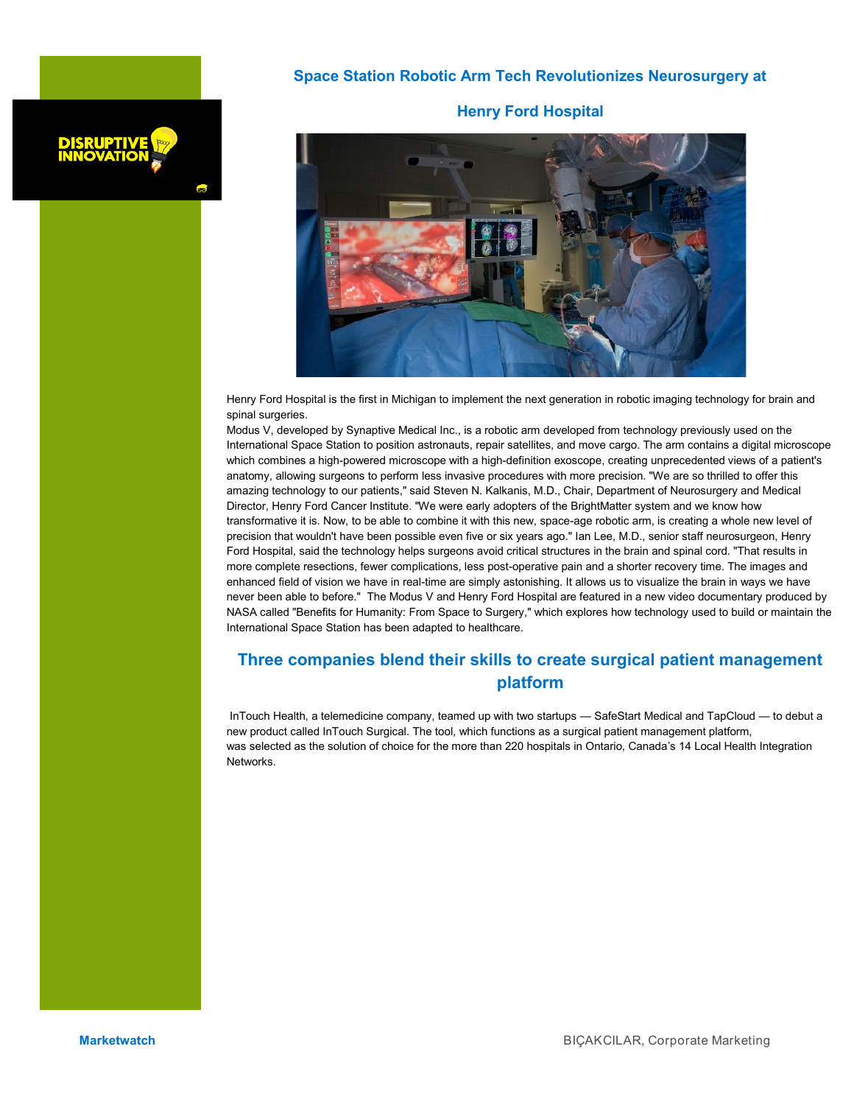#### **Space Station Robotic Arm Tech Revolutionizes Neurosurgery at**



**Henry Ford Hospital**



Henry Ford Hospital is the first in Michigan to implement the next generation in robotic imaging technology for brain and spinal surgeries.

Modus V, developed by Synaptive Medical Inc., is a robotic arm developed from technology previously used on the International Space Station to position astronauts, repair satellites, and move cargo. The arm contains a digital microscope which combines a high-powered microscope with a high-definition exoscope, creating unprecedented views of a patient's anatomy, allowing surgeons to perform less invasive procedures with more precision. "We are so thrilled to offer this amazing technology to our patients," said Steven N. Kalkanis, M.D., Chair, Department of Neurosurgery and Medical Director, Henry Ford Cancer Institute. "We were early adopters of the BrightMatter system and we know how transformative it is. Now, to be able to combine it with this new, space-age robotic arm, is creating a whole new level of precision that wouldn't have been possible even five or six years ago." Ian Lee, M.D., senior staff neurosurgeon, Henry Ford Hospital, said the technology helps surgeons avoid critical structures in the brain and spinal cord. "That results in more complete resections, fewer complications, less post-operative pain and a shorter recovery time. The images and enhanced field of vision we have in real-time are simply astonishing. It allows us to visualize the brain in ways we have never been able to before." The Modus V and Henry Ford Hospital are featured in a new video documentary produced by NASA called "Benefits for Humanity: From Space to Surgery," which explores how technology used to build or maintain the International Space Station has been adapted to healthcare.

#### **Three companies blend their skills to create surgical patient management platform**

InTouch Health, a telemedicine company, teamed up with two startups — SafeStart Medical and TapCloud — to debut a new product called InTouch Surgical. The tool, which functions as a surgical patient management platform, was selected as the solution of choice for the more than 220 hospitals in Ontario, Canada's 14 Local Health Integration Networks.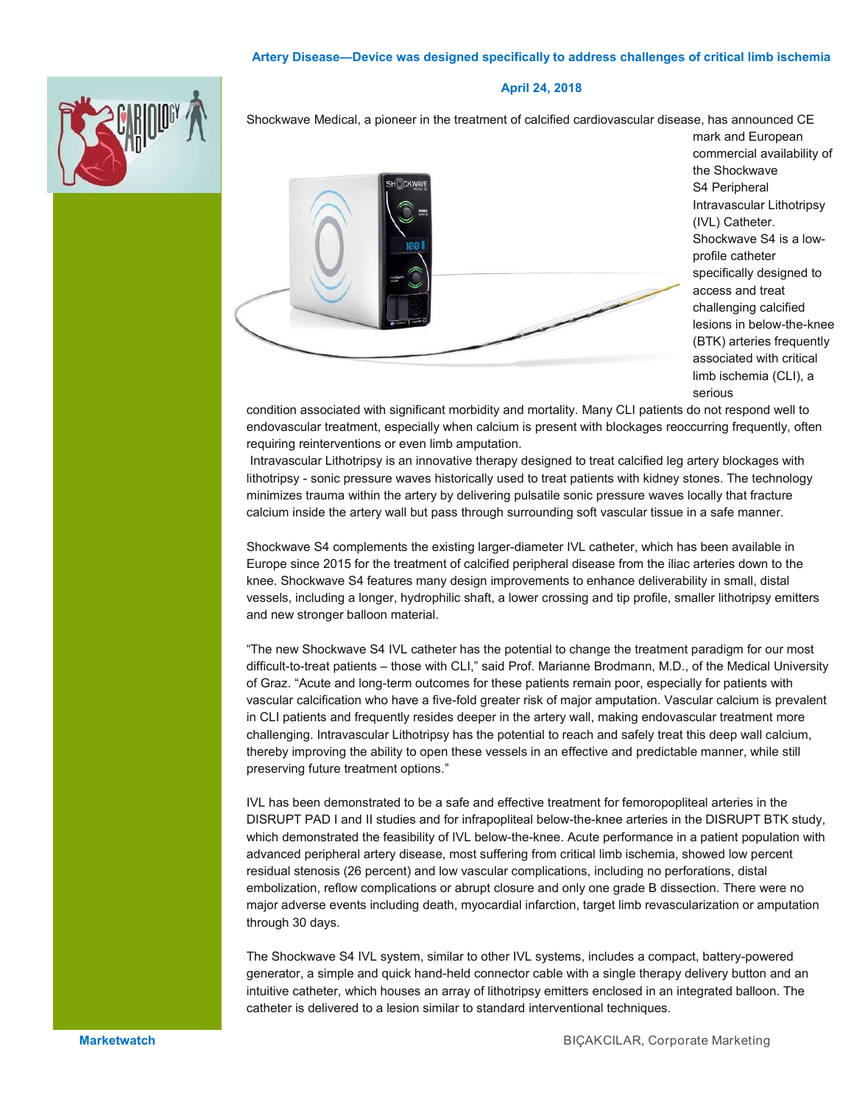#### **April 24, 2018**

Shockwave Medical, a pioneer in the treatment of calcified cardiovascular disease, has announced CE

mark and European commercial availability of the Shockwave S4 Peripheral Intravascular Lithotripsy (IVL) Catheter. Shockwave S4 is a lowprofile catheter specifically designed to access and treat challenging calcified lesions in below-the-knee (BTK) arteries frequently associated with critical limb ischemia (CLI), a serious

condition associated with significant morbidity and mortality. Many CLI patients do not respond well to endovascular treatment, especially when calcium is present with blockages reoccurring frequently, often requiring reinterventions or even limb amputation.

Intravascular Lithotripsy is an innovative therapy designed to treat calcified leg artery blockages with lithotripsy - sonic pressure waves historically used to treat patients with kidney stones. The technology minimizes trauma within the artery by delivering pulsatile sonic pressure waves locally that fracture calcium inside the artery wall but pass through surrounding soft vascular tissue in a safe manner.

Shockwave S4 complements the existing larger-diameter IVL catheter, which has been available in Europe since 2015 for the treatment of calcified peripheral disease from the iliac arteries down to the knee. Shockwave S4 features many design improvements to enhance deliverability in small, distal vessels, including a longer, hydrophilic shaft, a lower crossing and tip profile, smaller lithotripsy emitters and new stronger balloon material.

"The new Shockwave S4 IVL catheter has the potential to change the treatment paradigm for our most difficult-to-treat patients – those with CLI," said Prof. Marianne Brodmann, M.D., of the Medical University of Graz. "Acute and long-term outcomes for these patients remain poor, especially for patients with vascular calcification who have a five-fold greater risk of major amputation. Vascular calcium is prevalent in CLI patients and frequently resides deeper in the artery wall, making endovascular treatment more challenging. Intravascular Lithotripsy has the potential to reach and safely treat this deep wall calcium, thereby improving the ability to open these vessels in an effective and predictable manner, while still preserving future treatment options."

IVL has been demonstrated to be a safe and effective treatment for femoropopliteal arteries in the DISRUPT PAD I and II studies and for infrapopliteal below-the-knee arteries in the DISRUPT BTK study, which demonstrated the feasibility of IVL below-the-knee. Acute performance in a patient population with advanced peripheral artery disease, most suffering from critical limb ischemia, showed low percent residual stenosis (26 percent) and low vascular complications, including no perforations, distal embolization, reflow complications or abrupt closure and only one grade B dissection. There were no major adverse events including death, myocardial infarction, target limb revascularization or amputation through 30 days.

The Shockwave S4 IVL system, similar to other IVL systems, includes a compact, battery-powered generator, a simple and quick hand-held connector cable with a single therapy delivery button and an intuitive catheter, which houses an array of lithotripsy emitters enclosed in an integrated balloon. The catheter is delivered to a lesion similar to standard interventional techniques.